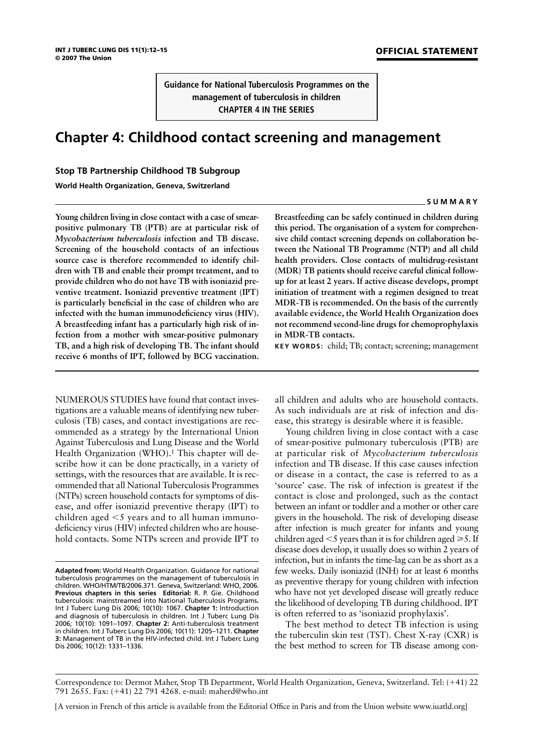**Guidance for National Tuberculosis Programmes on the management of tuberculosis in children CHAPTER 4 IN THE SERIES**

# **Chapter 4: Childhood contact screening and management**

## **Stop TB Partnership Childhood TB Subgroup**

**World Health Organization, Geneva, Switzerland**

**Young children living in close contact with a case of smearpositive pulmonary TB (PTB) are at particular risk of** *Mycobacterium tuberculosis* **infection and TB disease. Screening of the household contacts of an infectious source case is therefore recommended to identify children with TB and enable their prompt treatment, and to provide children who do not have TB with isoniazid preventive treatment. Isoniazid preventive treatment (IPT) is particularly beneficial in the case of children who are infected with the human immunodeficiency virus (HIV). A breastfeeding infant has a particularly high risk of infection from a mother with smear-positive pulmonary TB, and a high risk of developing TB. The infant should receive 6 months of IPT, followed by BCG vaccination.**

NUMEROUS STUDIES have found that contact investigations are a valuable means of identifying new tuberculosis (TB) cases, and contact investigations are recommended as a strategy by the International Union Against Tuberculosis and Lung Disease and the World Health Organization (WHO).<sup>1</sup> This chapter will describe how it can be done practically, in a variety of settings, with the resources that are available. It is recommended that all National Tuberculosis Programmes (NTPs) screen household contacts for symptoms of disease, and offer isoniazid preventive therapy (IPT) to children aged -5 years and to all human immunodeficiency virus (HIV) infected children who are household contacts. Some NTPs screen and provide IPT to

**Breastfeeding can be safely continued in children during this period. The organisation of a system for comprehensive child contact screening depends on collaboration between the National TB Programme (NTP) and all child health providers. Close contacts of multidrug-resistant (MDR) TB patients should receive careful clinical followup for at least 2 years. If active disease develops, prompt initiation of treatment with a regimen designed to treat MDR-TB is recommended. On the basis of the currently available evidence, the World Health Organization does not recommend second-line drugs for chemoprophylaxis in MDR-TB contacts.**

**KEY WORDS:** child; TB; contact; screening; management

all children and adults who are household contacts. As such individuals are at risk of infection and disease, this strategy is desirable where it is feasible.

Young children living in close contact with a case of smear-positive pulmonary tuberculosis (PTB) are at particular risk of *Mycobacterium tuberculosis* infection and TB disease. If this case causes infection or disease in a contact, the case is referred to as a 'source' case. The risk of infection is greatest if the contact is close and prolonged, such as the contact between an infant or toddler and a mother or other care givers in the household. The risk of developing disease after infection is much greater for infants and young children aged  $<$ 5 years than it is for children aged ≥5. If disease does develop, it usually does so within 2 years of infection, but in infants the time-lag can be as short as a few weeks. Daily isoniazid (INH) for at least 6 months as preventive therapy for young children with infection who have not yet developed disease will greatly reduce the likelihood of developing TB during childhood. IPT is often referred to as 'isoniazid prophylaxis'.

The best method to detect TB infection is using the tuberculin skin test (TST). Chest X-ray (CXR) is the best method to screen for TB disease among con-

**SUMMARY**

**Adapted from:** World Health Organization. Guidance for national tuberculosis programmes on the management of tuberculosis in children. WHO/HTM/TB/2006.371. Geneva, Switzerland: WHO, 2006. **Previous chapters in this series Editorial:** R. P. Gie. Childhood tuberculosis: mainstreamed into National Tuberculosis Programs**.** Int J Tuberc Lung Dis 2006; 10(10): 1067. **Chapter 1:** Introduction and diagnosis of tuberculosis in children. Int J Tuberc Lung Dis 2006; 10(10): 1091–1097. **Chapter 2:** Anti-tuberculosis treatment in children. Int J Tuberc Lung Dis 2006; 10(11): 1205–1211. **Chapter 3:** Management of TB in the HIV-infected child. Int J Tuberc Lung Dis 2006; 10(12): 1331–1336.

Correspondence to: Dermot Maher, Stop TB Department, World Health Organization, Geneva, Switzerland. Tel: (41) 22 791 2655. Fax: (41) 22 791 4268. e-mail: maherd@who.int

<sup>[</sup>A version in French of this article is available from the Editorial Office in Paris and from the Union website www.iuatld.org]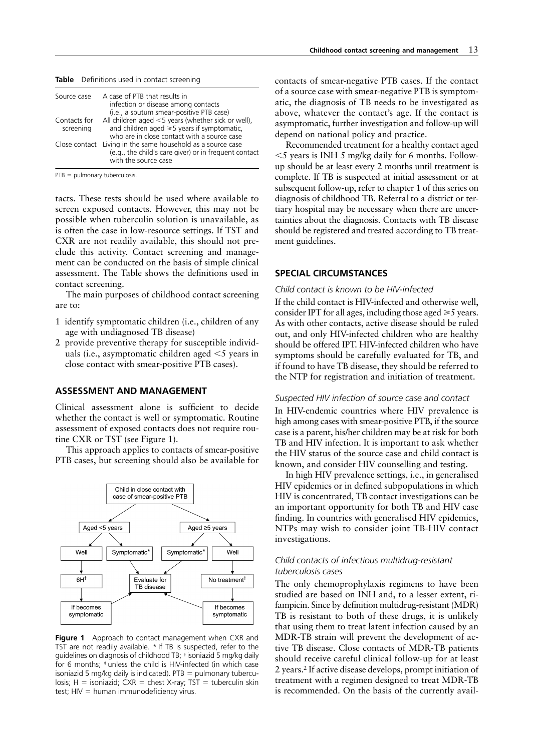| <b>Table</b> Definitions used in contact screening |  |  |
|----------------------------------------------------|--|--|
|----------------------------------------------------|--|--|

| Source case   | A case of PTB that results in<br>infection or disease among contacts          |
|---------------|-------------------------------------------------------------------------------|
|               | (i.e., a sputum smear-positive PTB case)                                      |
| Contacts for  | All children aged <5 years (whether sick or well),                            |
| screening     | and children aged $\geq 5$ years if symptomatic,                              |
|               | who are in close contact with a source case                                   |
| Close contact | Living in the same household as a source case                                 |
|               | (e.g., the child's care giver) or in frequent contact<br>with the source case |
|               |                                                                               |

 $PTB =$  pulmonary tuberculosis.

tacts. These tests should be used where available to screen exposed contacts. However, this may not be possible when tuberculin solution is unavailable, as is often the case in low-resource settings. If TST and CXR are not readily available, this should not preclude this activity. Contact screening and management can be conducted on the basis of simple clinical assessment. The Table shows the definitions used in contact screening.

The main purposes of childhood contact screening are to:

- 1 identify symptomatic children (i.e., children of any age with undiagnosed TB disease)
- 2 provide preventive therapy for susceptible individuals (i.e., asymptomatic children aged  $<$ 5 years in close contact with smear-positive PTB cases).

## **ASSESSMENT AND MANAGEMENT**

Clinical assessment alone is sufficient to decide whether the contact is well or symptomatic. Routine assessment of exposed contacts does not require routine CXR or TST (see Figure 1).

This approach applies to contacts of smear-positive PTB cases, but screening should also be available for



**Figure 1** Approach to contact management when CXR and TST are not readily available. \* If TB is suspected, refer to the guidelines on diagnosis of childhood TB; † isoniazid 5 mg/kg daily for 6 months; ‡ unless the child is HIV-infected (in which case isoniazid 5 mg/kg daily is indicated). PTB  $=$  pulmonary tuberculosis;  $H =$  isoniazid;  $CXR =$  chest X-ray; TST = tuberculin skin test;  $HIV = human immunodeficiency virus.$ 

contacts of smear-negative PTB cases. If the contact of a source case with smear-negative PTB is symptomatic, the diagnosis of TB needs to be investigated as above, whatever the contact's age. If the contact is asymptomatic, further investigation and follow-up will depend on national policy and practice.

Recommended treatment for a healthy contact aged -5 years is INH 5 mg/kg daily for 6 months. Followup should be at least every 2 months until treatment is complete. If TB is suspected at initial assessment or at subsequent follow-up, refer to chapter 1 of this series on diagnosis of childhood TB. Referral to a district or tertiary hospital may be necessary when there are uncertainties about the diagnosis. Contacts with TB disease should be registered and treated according to TB treatment guidelines.

#### **SPECIAL CIRCUMSTANCES**

#### *Child contact is known to be HIV-infected*

If the child contact is HIV-infected and otherwise well, consider IPT for all ages, including those aged  $\geq 5$  years. As with other contacts, active disease should be ruled out, and only HIV-infected children who are healthy should be offered IPT. HIV-infected children who have symptoms should be carefully evaluated for TB, and if found to have TB disease, they should be referred to the NTP for registration and initiation of treatment.

#### *Suspected HIV infection of source case and contact*

In HIV-endemic countries where HIV prevalence is high among cases with smear-positive PTB, if the source case is a parent, his/her children may be at risk for both TB and HIV infection. It is important to ask whether the HIV status of the source case and child contact is known, and consider HIV counselling and testing.

In high HIV prevalence settings, i.e., in generalised HIV epidemics or in defined subpopulations in which HIV is concentrated, TB contact investigations can be an important opportunity for both TB and HIV case finding. In countries with generalised HIV epidemics, NTPs may wish to consider joint TB-HIV contact investigations.

# *Child contacts of infectious multidrug-resistant tuberculosis cases*

The only chemoprophylaxis regimens to have been studied are based on INH and, to a lesser extent, rifampicin. Since by definition multidrug-resistant (MDR) TB is resistant to both of these drugs, it is unlikely that using them to treat latent infection caused by an MDR-TB strain will prevent the development of active TB disease. Close contacts of MDR-TB patients should receive careful clinical follow-up for at least 2 years.2 If active disease develops, prompt initiation of treatment with a regimen designed to treat MDR-TB is recommended. On the basis of the currently avail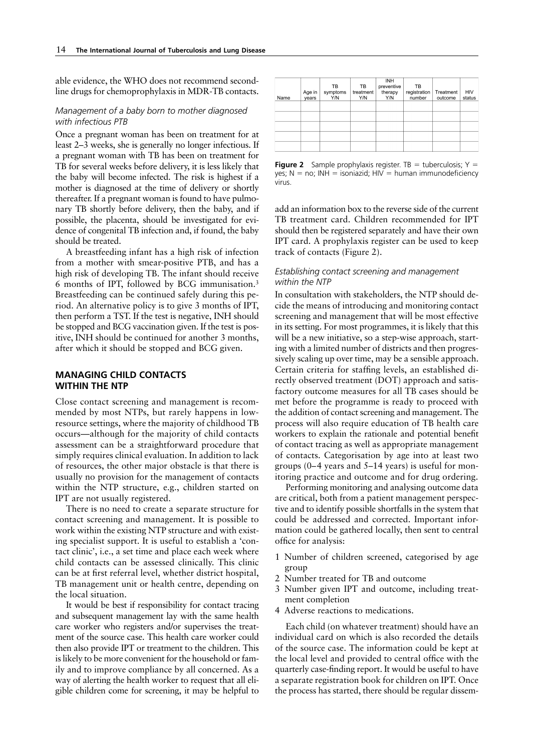able evidence, the WHO does not recommend secondline drugs for chemoprophylaxis in MDR-TB contacts.

#### *Management of a baby born to mother diagnosed with infectious PTB*

Once a pregnant woman has been on treatment for at least 2–3 weeks, she is generally no longer infectious. If a pregnant woman with TB has been on treatment for TB for several weeks before delivery, it is less likely that the baby will become infected. The risk is highest if a mother is diagnosed at the time of delivery or shortly thereafter. If a pregnant woman is found to have pulmonary TB shortly before delivery, then the baby, and if possible, the placenta, should be investigated for evidence of congenital TB infection and, if found, the baby should be treated.

A breastfeeding infant has a high risk of infection from a mother with smear-positive PTB, and has a high risk of developing TB. The infant should receive 6 months of IPT, followed by BCG immunisation.3 Breastfeeding can be continued safely during this period. An alternative policy is to give 3 months of IPT, then perform a TST. If the test is negative, INH should be stopped and BCG vaccination given. If the test is positive, INH should be continued for another 3 months, after which it should be stopped and BCG given.

## **MANAGING CHILD CONTACTS WITHIN THE NTP**

Close contact screening and management is recommended by most NTPs, but rarely happens in lowresource settings, where the majority of childhood TB occurs—although for the majority of child contacts assessment can be a straightforward procedure that simply requires clinical evaluation. In addition to lack of resources, the other major obstacle is that there is usually no provision for the management of contacts within the NTP structure, e.g., children started on IPT are not usually registered.

There is no need to create a separate structure for contact screening and management. It is possible to work within the existing NTP structure and with existing specialist support. It is useful to establish a 'contact clinic', i.e., a set time and place each week where child contacts can be assessed clinically. This clinic can be at first referral level, whether district hospital, TB management unit or health centre, depending on the local situation.

It would be best if responsibility for contact tracing and subsequent management lay with the same health care worker who registers and/or supervises the treatment of the source case. This health care worker could then also provide IPT or treatment to the children. This is likely to be more convenient for the household or family and to improve compliance by all concerned. As a way of alerting the health worker to request that all eligible children come for screening, it may be helpful to

| Name | Age in<br>vears | TB<br>symptoms<br>Y/N | TB<br>treatment<br>Y/N | <b>INH</b><br>preventive<br>therapy<br>Y/N | TB<br>registration<br>number | Treatment<br>outcome | HIV<br>status |
|------|-----------------|-----------------------|------------------------|--------------------------------------------|------------------------------|----------------------|---------------|
|      |                 |                       |                        |                                            |                              |                      |               |
|      |                 |                       |                        |                                            |                              |                      |               |
|      |                 |                       |                        |                                            |                              |                      |               |
|      |                 |                       |                        |                                            |                              |                      |               |
|      |                 |                       |                        |                                            |                              |                      |               |

**Figure 2** Sample prophylaxis register. TB = tuberculosis;  $Y =$ yes;  $N = no$ ; INH = isoniazid; HIV = human immunodeficiency virus.

add an information box to the reverse side of the current TB treatment card. Children recommended for IPT should then be registered separately and have their own IPT card. A prophylaxis register can be used to keep track of contacts (Figure 2).

#### *Establishing contact screening and management within the NTP*

In consultation with stakeholders, the NTP should decide the means of introducing and monitoring contact screening and management that will be most effective in its setting. For most programmes, it is likely that this will be a new initiative, so a step-wise approach, starting with a limited number of districts and then progressively scaling up over time, may be a sensible approach. Certain criteria for staffing levels, an established directly observed treatment (DOT) approach and satisfactory outcome measures for all TB cases should be met before the programme is ready to proceed with the addition of contact screening and management. The process will also require education of TB health care workers to explain the rationale and potential benefit of contact tracing as well as appropriate management of contacts. Categorisation by age into at least two groups (0–4 years and 5–14 years) is useful for monitoring practice and outcome and for drug ordering.

Performing monitoring and analysing outcome data are critical, both from a patient management perspective and to identify possible shortfalls in the system that could be addressed and corrected. Important information could be gathered locally, then sent to central office for analysis:

- 1 Number of children screened, categorised by age group
- 2 Number treated for TB and outcome
- 3 Number given IPT and outcome, including treatment completion
- 4 Adverse reactions to medications.

Each child (on whatever treatment) should have an individual card on which is also recorded the details of the source case. The information could be kept at the local level and provided to central office with the quarterly case-finding report. It would be useful to have a separate registration book for children on IPT. Once the process has started, there should be regular dissem